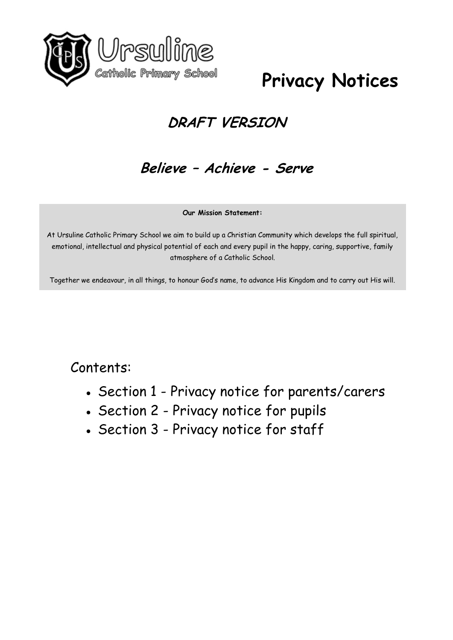

# **Privacy Notices**

## **DRAFT VERSION**

## **Believe – Achieve - Serve**

**Our Mission Statement:**

At Ursuline Catholic Primary School we aim to build up a Christian Community which develops the full spiritual, emotional, intellectual and physical potential of each and every pupil in the happy, caring, supportive, family atmosphere of a Catholic School.

Together we endeavour, in all things, to honour God's name, to advance His Kingdom and to carry out His will.

Contents:

- Section 1 Privacy notice for parents/carers
- Section 2 Privacy notice for pupils
- Section 3 Privacy notice for staff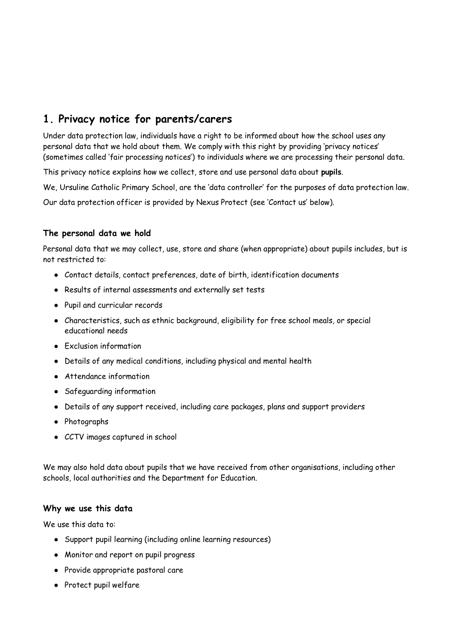### **1. Privacy notice for parents/carers**

Under data protection law, individuals have a right to be informed about how the school uses any personal data that we hold about them. We comply with this right by providing 'privacy notices' (sometimes called 'fair processing notices') to individuals where we are processing their personal data.

This privacy notice explains how we collect, store and use personal data about **pupils**.

We, Ursuline Catholic Primary School, are the 'data controller' for the purposes of data protection law.

Our data protection officer is provided by Nexus Protect (see 'Contact us' below).

#### **The personal data we hold**

Personal data that we may collect, use, store and share (when appropriate) about pupils includes, but is not restricted to:

- Contact details, contact preferences, date of birth, identification documents
- Results of internal assessments and externally set tests
- Pupil and curricular records
- Characteristics, such as ethnic background, eligibility for free school meals, or special educational needs
- Exclusion information
- Details of any medical conditions, including physical and mental health
- Attendance information
- Safeguarding information
- Details of any support received, including care packages, plans and support providers
- Photographs
- CCTV images captured in school

We may also hold data about pupils that we have received from other organisations, including other schools, local authorities and the Department for Education.

#### **Why we use this data**

We use this data to:

- Support pupil learning (including online learning resources)
- Monitor and report on pupil progress
- Provide appropriate pastoral care
- Protect pupil welfare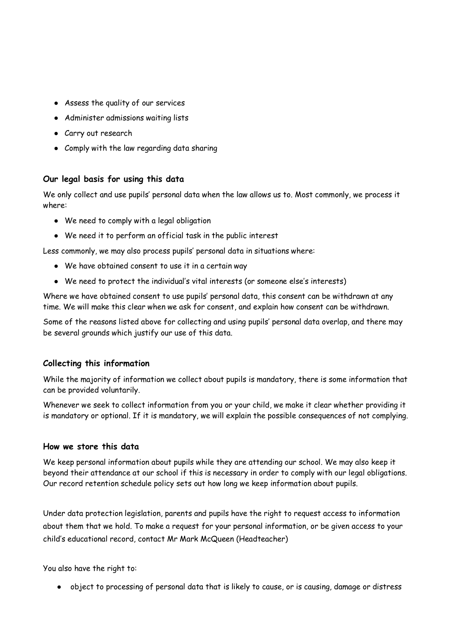- Assess the quality of our services
- Administer admissions waiting lists
- Carry out research
- Comply with the law regarding data sharing

#### **Our legal basis for using this data**

We only collect and use pupils' personal data when the law allows us to. Most commonly, we process it where:

- We need to comply with a legal obligation
- We need it to perform an official task in the public interest

Less commonly, we may also process pupils' personal data in situations where:

- We have obtained consent to use it in a certain way
- We need to protect the individual's vital interests (or someone else's interests)

Where we have obtained consent to use pupils' personal data, this consent can be withdrawn at any time. We will make this clear when we ask for consent, and explain how consent can be withdrawn.

Some of the reasons listed above for collecting and using pupils' personal data overlap, and there may be several grounds which justify our use of this data.

#### **Collecting this information**

While the majority of information we collect about pupils is mandatory, there is some information that can be provided voluntarily.

Whenever we seek to collect information from you or your child, we make it clear whether providing it is mandatory or optional. If it is mandatory, we will explain the possible consequences of not complying.

#### **How we store this data**

We keep personal information about pupils while they are attending our school. We may also keep it beyond their attendance at our school if this is necessary in order to comply with our legal obligations. Our record retention schedule policy sets out how long we keep information about pupils.

Under data protection legislation, parents and pupils have the right to request access to information about them that we hold. To make a request for your personal information, or be given access to your child's educational record, contact Mr Mark McQueen (Headteacher)

You also have the right to:

● object to processing of personal data that is likely to cause, or is causing, damage or distress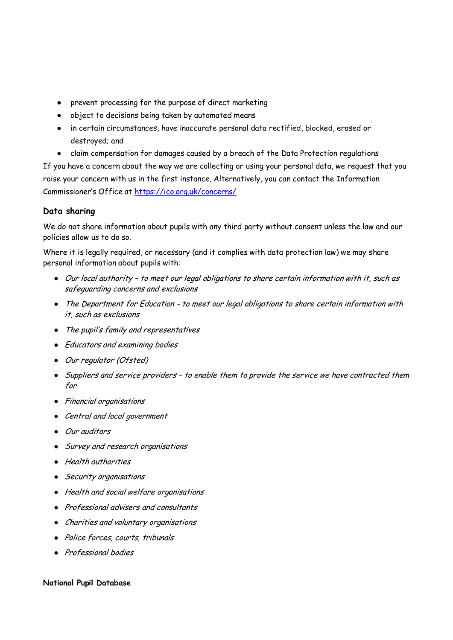- prevent processing for the purpose of direct marketing
- object to decisions being taken by automated means
- in certain circumstances, have inaccurate personal data rectified, blocked, erased or destroyed; and
- claim compensation for damages caused by a breach of the Data Protection regulations

If you have a concern about the way we are collecting or using your personal data, we request that you raise your concern with us in the first instance. Alternatively, you can contact the Information Commissioner's Office at <https://ico.org.uk/concerns/>

#### **Data sharing**

We do not share information about pupils with any third party without consent unless the law and our policies allow us to do so.

Where it is legally required, or necessary (and it complies with data protection law) we may share personal information about pupils with:

- Our local authority to meet our legal obligations to share certain information with it, such as safeguarding concerns and exclusions
- The Department for Education to meet our legal obligations to share certain information with it, such as exclusions
- The pupil's family and representatives
- Educators and examining bodies
- Our regulator (Ofsted)
- Suppliers and service providers to enable them to provide the service we have contracted them for
- Financial organisations
- Central and local government
- Our auditors
- Survey and research organisations
- Health authorities
- Security organisations
- Health and social welfare organisations
- Professional advisers and consultants
- Charities and voluntary organisations
- Police forces, courts, tribunals
- Professional bodies

#### **National Pupil Database**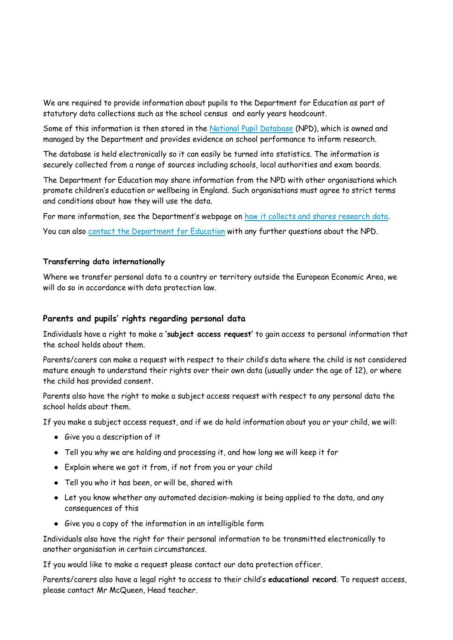We are required to provide information about pupils to the Department for Education as part of statutory data collections such as the school census and early years headcount.

Some of this information is then stored in the [National Pupil Database](https://www.gov.uk/government/publications/national-pupil-database-user-guide-and-supporting-information) (NPD), which is owned and managed by the Department and provides evidence on school performance to inform research.

The database is held electronically so it can easily be turned into statistics. The information is securely collected from a range of sources including schools, local authorities and exam boards.

The Department for Education may share information from the NPD with other organisations which promote children's education or wellbeing in England. Such organisations must agree to strict terms and conditions about how they will use the data.

For more information, see the Department's webpage on [how it collects and shares research data.](https://www.gov.uk/data-protection-how-we-collect-and-share-research-data)

You can also [contact the Department for Education](https://www.gov.uk/contact-dfe) with any further questions about the NPD.

#### **Transferring data internationally**

Where we transfer personal data to a country or territory outside the European Economic Area, we will do so in accordance with data protection law.

#### **Parents and pupils' rights regarding personal data**

Individuals have a right to make a **'subject access request'** to gain access to personal information that the school holds about them.

Parents/carers can make a request with respect to their child's data where the child is not considered mature enough to understand their rights over their own data (usually under the age of 12), or where the child has provided consent.

Parents also have the right to make a subject access request with respect to any personal data the school holds about them.

If you make a subject access request, and if we do hold information about you or your child, we will:

- Give you a description of it
- Tell you why we are holding and processing it, and how long we will keep it for
- Explain where we got it from, if not from you or your child
- Tell you who it has been, or will be, shared with
- Let you know whether any automated decision-making is being applied to the data, and any consequences of this
- Give you a copy of the information in an intelligible form

Individuals also have the right for their personal information to be transmitted electronically to another organisation in certain circumstances.

If you would like to make a request please contact our data protection officer.

Parents/carers also have a legal right to access to their child's **educational record**. To request access, please contact Mr McQueen, Head teacher.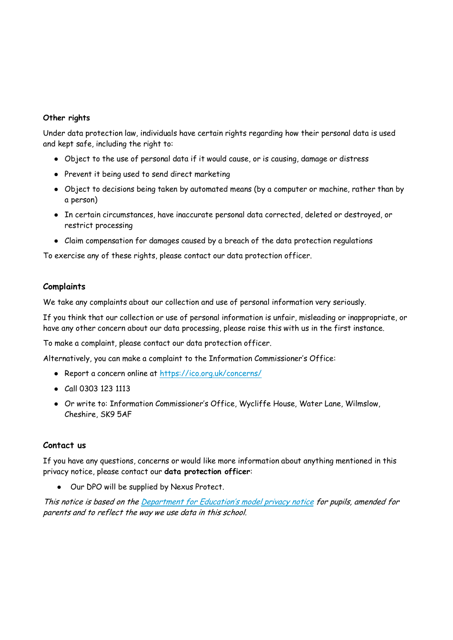#### **Other rights**

Under data protection law, individuals have certain rights regarding how their personal data is used and kept safe, including the right to:

- Object to the use of personal data if it would cause, or is causing, damage or distress
- Prevent it being used to send direct marketing
- Object to decisions being taken by automated means (by a computer or machine, rather than by a person)
- In certain circumstances, have inaccurate personal data corrected, deleted or destroyed, or restrict processing
- Claim compensation for damages caused by a breach of the data protection regulations

To exercise any of these rights, please contact our data protection officer.

#### **Complaints**

We take any complaints about our collection and use of personal information very seriously.

If you think that our collection or use of personal information is unfair, misleading or inappropriate, or have any other concern about our data processing, please raise this with us in the first instance.

To make a complaint, please contact our data protection officer.

Alternatively, you can make a complaint to the Information Commissioner's Office:

- Report a concern online at<https://ico.org.uk/concerns/>
- Call 0303 123 1113
- Or write to: Information Commissioner's Office, Wycliffe House, Water Lane, Wilmslow, Cheshire, SK9 5AF

#### **Contact us**

If you have any questions, concerns or would like more information about anything mentioned in this privacy notice, please contact our **data protection officer**:

● Our DPO will be supplied by Nexus Protect.

This notice is based on the [Department for Education's model privacy notice](https://www.gov.uk/government/publications/data-protection-and-privacy-privacy-notices) for pupils, amended for parents and to reflect the way we use data in this school.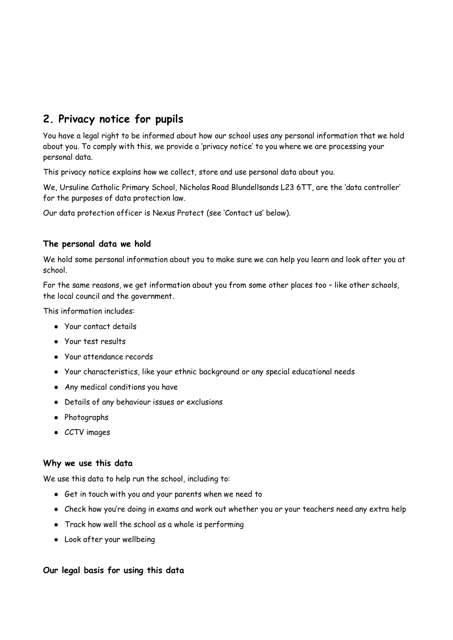## **2. Privacy notice for pupils**

You have a legal right to be informed about how our school uses any personal information that we hold about you. To comply with this, we provide a 'privacy notice' to you where we are processing your personal data.

This privacy notice explains how we collect, store and use personal data about you.

We, Ursuline Catholic Primary School, Nicholas Road Blundellsands L23 6TT, are the 'data controller' for the purposes of data protection law.

Our data protection officer is Nexus Protect (see 'Contact us' below).

#### **The personal data we hold**

We hold some personal information about you to make sure we can help you learn and look after you at school.

For the same reasons, we get information about you from some other places too – like other schools, the local council and the government.

This information includes:

- Your contact details
- Your test results
- Your attendance records
- Your characteristics, like your ethnic background or any special educational needs
- Any medical conditions you have
- Details of any behaviour issues or exclusions
- Photographs
- CCTV images

#### **Why we use this data**

We use this data to help run the school, including to:

- Get in touch with you and your parents when we need to
- Check how you're doing in exams and work out whether you or your teachers need any extra help
- Track how well the school as a whole is performing
- Look after your wellbeing

#### **Our legal basis for using this data**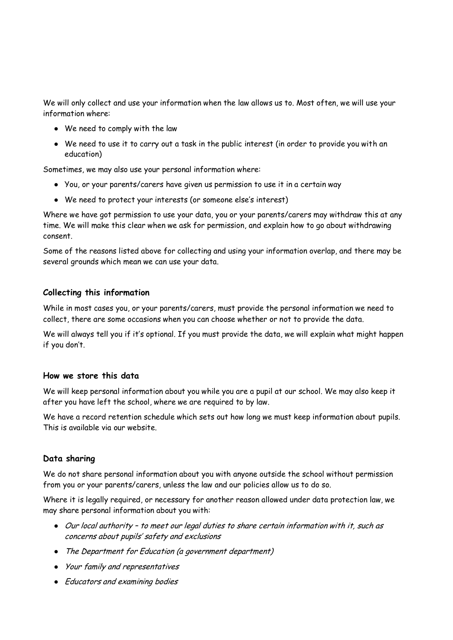We will only collect and use your information when the law allows us to. Most often, we will use your information where:

- We need to comply with the law
- We need to use it to carry out a task in the public interest (in order to provide you with an education)

Sometimes, we may also use your personal information where:

- You, or your parents/carers have given us permission to use it in a certain way
- We need to protect your interests (or someone else's interest)

Where we have got permission to use your data, you or your parents/carers may withdraw this at any time. We will make this clear when we ask for permission, and explain how to go about withdrawing consent.

Some of the reasons listed above for collecting and using your information overlap, and there may be several grounds which mean we can use your data.

#### **Collecting this information**

While in most cases you, or your parents/carers, must provide the personal information we need to collect, there are some occasions when you can choose whether or not to provide the data.

We will always tell you if it's optional. If you must provide the data, we will explain what might happen if you don't.

#### **How we store this data**

We will keep personal information about you while you are a pupil at our school. We may also keep it after you have left the school, where we are required to by law.

We have a record retention schedule which sets out how long we must keep information about pupils. This is available via our website.

#### **Data sharing**

We do not share personal information about you with anyone outside the school without permission from you or your parents/carers, unless the law and our policies allow us to do so.

Where it is legally required, or necessary for another reason allowed under data protection law, we may share personal information about you with:

- Our local authority to meet our legal duties to share certain information with it, such as concerns about pupils' safety and exclusions
- The Department for Education (a government department)
- Your family and representatives
- Educators and examining bodies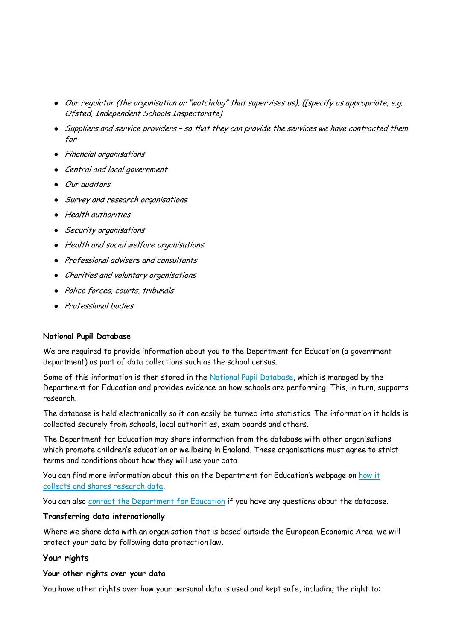- Our regulator (the organisation or "watchdog" that supervises us), ([specify as appropriate, e.g. Ofsted, Independent Schools Inspectorate]
- Suppliers and service providers so that they can provide the services we have contracted them for
- Financial organisations
- Central and local government
- Our auditors
- Survey and research organisations
- Health authorities
- Security organisations
- Health and social welfare organisations
- Professional advisers and consultants
- Charities and voluntary organisations
- Police forces, courts, tribunals
- Professional bodies

#### **National Pupil Database**

We are required to provide information about you to the Department for Education (a government department) as part of data collections such as the school census.

Some of this information is then stored in the [National Pupil Database,](https://www.gov.uk/government/publications/national-pupil-database-user-guide-and-supporting-information) which is managed by the Department for Education and provides evidence on how schools are performing. This, in turn, supports research.

The database is held electronically so it can easily be turned into statistics. The information it holds is collected securely from schools, local authorities, exam boards and others.

The Department for Education may share information from the database with other organisations which promote children's education or wellbeing in England. These organisations must agree to strict terms and conditions about how they will use your data.

You can find more information about this on the Department for Education's webpage on [how it](https://www.gov.uk/data-protection-how-we-collect-and-share-research-data)  [collects and shares research data.](https://www.gov.uk/data-protection-how-we-collect-and-share-research-data)

You can also [contact the Department for Education](https://www.gov.uk/contact-dfe) if you have any questions about the database.

#### **Transferring data internationally**

Where we share data with an organisation that is based outside the European Economic Area, we will protect your data by following data protection law.

#### **Your rights**

#### **Your other rights over your data**

You have other rights over how your personal data is used and kept safe, including the right to: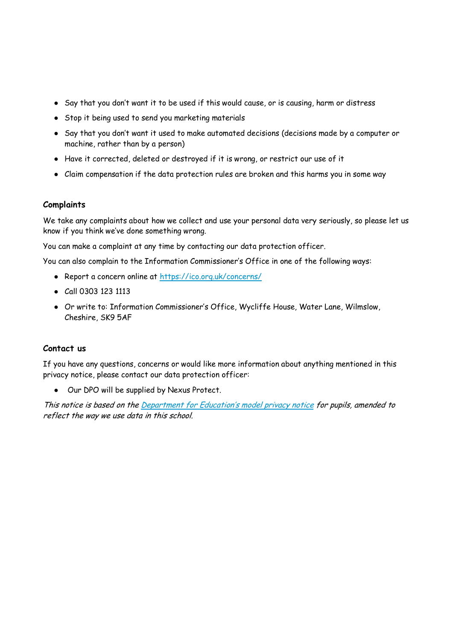- Say that you don't want it to be used if this would cause, or is causing, harm or distress
- Stop it being used to send you marketing materials
- Say that you don't want it used to make automated decisions (decisions made by a computer or machine, rather than by a person)
- Have it corrected, deleted or destroyed if it is wrong, or restrict our use of it
- Claim compensation if the data protection rules are broken and this harms you in some way

#### **Complaints**

We take any complaints about how we collect and use your personal data very seriously, so please let us know if you think we've done something wrong.

You can make a complaint at any time by contacting our data protection officer.

You can also complain to the Information Commissioner's Office in one of the following ways:

- Report a concern online at<https://ico.org.uk/concerns/>
- Call 0303 123 1113
- Or write to: Information Commissioner's Office, Wycliffe House, Water Lane, Wilmslow, Cheshire, SK9 5AF

#### **Contact us**

If you have any questions, concerns or would like more information about anything mentioned in this privacy notice, please contact our data protection officer:

● Our DPO will be supplied by Nexus Protect.

This notice is based on the [Department for Education's model privacy notice](https://www.gov.uk/government/publications/data-protection-and-privacy-privacy-notices) for pupils, amended to reflect the way we use data in this school.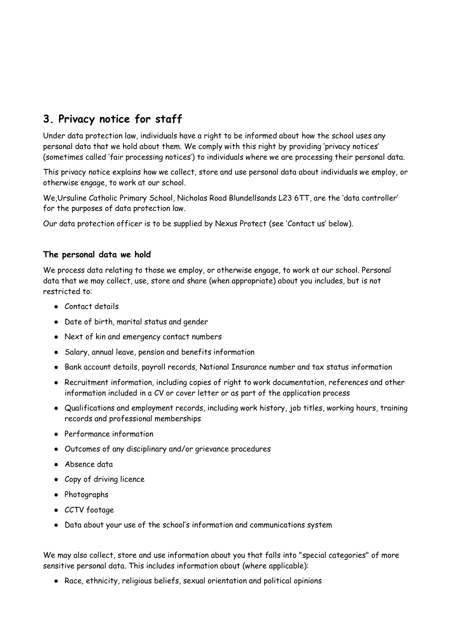### **3. Privacy notice for staff**

Under data protection law, individuals have a right to be informed about how the school uses any personal data that we hold about them. We comply with this right by providing 'privacy notices' (sometimes called 'fair processing notices') to individuals where we are processing their personal data.

This privacy notice explains how we collect, store and use personal data about individuals we employ, or otherwise engage, to work at our school.

We,Ursuline Catholic Primary School, Nicholas Road Blundellsands L23 6TT, are the 'data controller' for the purposes of data protection law.

Our data protection officer is to be supplied by Nexus Protect (see 'Contact us' below).

#### **The personal data we hold**

We process data relating to those we employ, or otherwise engage, to work at our school. Personal data that we may collect, use, store and share (when appropriate) about you includes, but is not restricted to:

- Contact details
- Date of birth, marital status and gender
- Next of kin and emergency contact numbers
- Salary, annual leave, pension and benefits information
- Bank account details, payroll records, National Insurance number and tax status information
- Recruitment information, including copies of right to work documentation, references and other information included in a CV or cover letter or as part of the application process
- Qualifications and employment records, including work history, job titles, working hours, training records and professional memberships
- Performance information
- Outcomes of any disciplinary and/or grievance procedures
- Absence data
- Copy of driving licence
- Photographs
- CCTV footage
- Data about your use of the school's information and communications system

We may also collect, store and use information about you that falls into "special categories" of more sensitive personal data. This includes information about (where applicable):

● Race, ethnicity, religious beliefs, sexual orientation and political opinions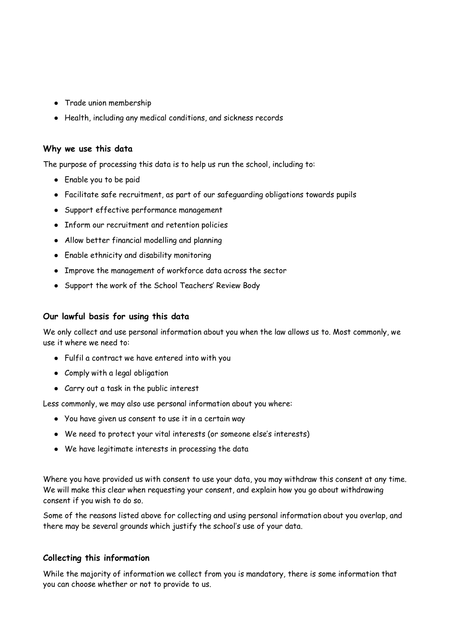- Trade union membership
- Health, including any medical conditions, and sickness records

#### **Why we use this data**

The purpose of processing this data is to help us run the school, including to:

- Enable you to be paid
- Facilitate safe recruitment, as part of our safeguarding obligations towards pupils
- Support effective performance management
- Inform our recruitment and retention policies
- Allow better financial modelling and planning
- Enable ethnicity and disability monitoring
- Improve the management of workforce data across the sector
- Support the work of the School Teachers' Review Body

#### **Our lawful basis for using this data**

We only collect and use personal information about you when the law allows us to. Most commonly, we use it where we need to:

- Fulfil a contract we have entered into with you
- Comply with a legal obligation
- Carry out a task in the public interest

Less commonly, we may also use personal information about you where:

- You have given us consent to use it in a certain way
- We need to protect your vital interests (or someone else's interests)
- We have legitimate interests in processing the data

Where you have provided us with consent to use your data, you may withdraw this consent at any time. We will make this clear when requesting your consent, and explain how you go about withdrawing consent if you wish to do so.

Some of the reasons listed above for collecting and using personal information about you overlap, and there may be several grounds which justify the school's use of your data.

#### **Collecting this information**

While the majority of information we collect from you is mandatory, there is some information that you can choose whether or not to provide to us.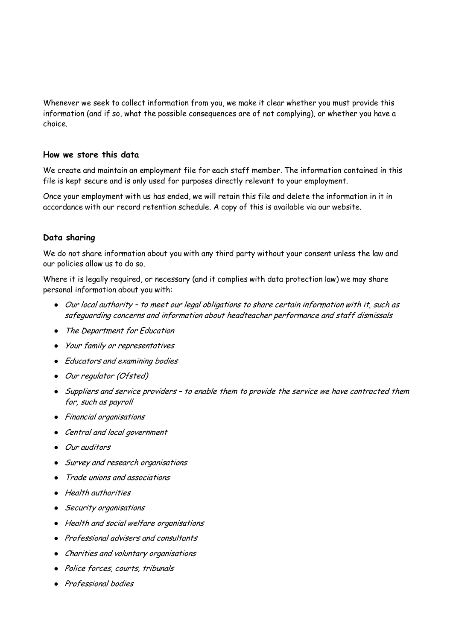Whenever we seek to collect information from you, we make it clear whether you must provide this information (and if so, what the possible consequences are of not complying), or whether you have a choice.

#### **How we store this data**

We create and maintain an employment file for each staff member. The information contained in this file is kept secure and is only used for purposes directly relevant to your employment.

Once your employment with us has ended, we will retain this file and delete the information in it in accordance with our record retention schedule. A copy of this is available via our website.

#### **Data sharing**

We do not share information about you with any third party without your consent unless the law and our policies allow us to do so.

Where it is legally required, or necessary (and it complies with data protection law) we may share personal information about you with:

- Our local authority to meet our legal obligations to share certain information with it, such as safeguarding concerns and information about headteacher performance and staff dismissals
- The Department for Education
- Your family or representatives
- Educators and examining bodies
- Our regulator (Ofsted)
- Suppliers and service providers to enable them to provide the service we have contracted them for, such as payroll
- Financial organisations
- Central and local government
- Our auditors
- Survey and research organisations
- Trade unions and associations
- Health authorities
- Security organisations
- Health and social welfare organisations
- Professional advisers and consultants
- Charities and voluntary organisations
- Police forces, courts, tribunals
- Professional bodies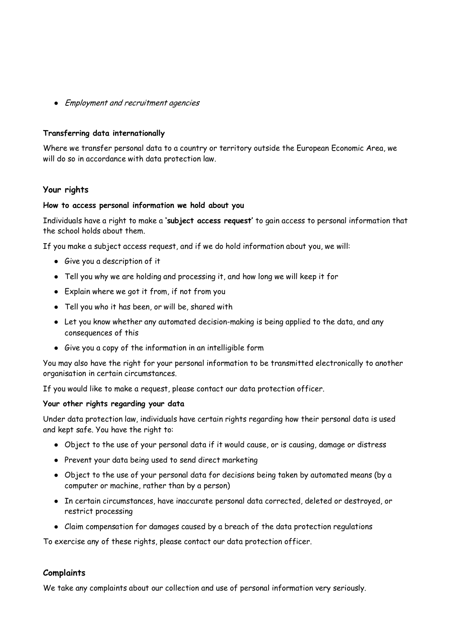• Employment and recruitment agencies

#### **Transferring data internationally**

Where we transfer personal data to a country or territory outside the European Economic Area, we will do so in accordance with data protection law.

#### **Your rights**

#### **How to access personal information we hold about you**

Individuals have a right to make a **'subject access request'** to gain access to personal information that the school holds about them.

If you make a subject access request, and if we do hold information about you, we will:

- Give you a description of it
- Tell you why we are holding and processing it, and how long we will keep it for
- Explain where we got it from, if not from you
- Tell you who it has been, or will be, shared with
- Let you know whether any automated decision-making is being applied to the data, and any consequences of this
- Give you a copy of the information in an intelligible form

You may also have the right for your personal information to be transmitted electronically to another organisation in certain circumstances.

If you would like to make a request, please contact our data protection officer.

#### **Your other rights regarding your data**

Under data protection law, individuals have certain rights regarding how their personal data is used and kept safe. You have the right to:

- Object to the use of your personal data if it would cause, or is causing, damage or distress
- Prevent your data being used to send direct marketing
- Object to the use of your personal data for decisions being taken by automated means (by a computer or machine, rather than by a person)
- In certain circumstances, have inaccurate personal data corrected, deleted or destroyed, or restrict processing
- Claim compensation for damages caused by a breach of the data protection regulations

To exercise any of these rights, please contact our data protection officer.

#### **Complaints**

We take any complaints about our collection and use of personal information very seriously.